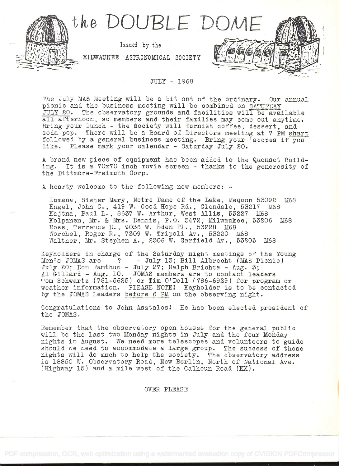

JULY - 1968

The July MAS Meeting will be a bit out of the ordinary. Our annual picnic and the business meeting will be combined on SATURDAY JULY 20. The observatory grounds and. facilities will be available all afternoon, so members and their families may come out anytime. Bring your lunch - the society will furnish coffee, dessert, and. soda pop. There will be a Board of Directors meeting at 7 PM sharp followed by a general business meeting. Bring your 'scopes if you like. Please mark your calendar - Saturday July 20.

A brand new piece of equipment has been added to the Quonset Building. It is a 70x70 inch movie screen - thanks to the generosity of the Dittmore-Preimuth Corp.

A hearty welcome to the following new members: -

Lumena, Sister Mary, Notre Dame of the Lake, Mequon 53092 M68 Engel, John C. , 419 W. Good. Hope Rd. , Glendale, 53217 M68 Kajtna, Paul L., 8637 W. Arthur, West Allis, 53227 M68 Kolpanen, Mr. & Mrs. Dennis, P.O. 3472, Milwaukee, 53206 M68 Ross, Terrence D., 9036 W. Eden Pl., 53228 M68 Worchel, Roger R., 7309 W. Tripoli Av., 53220 M68<br>Walther. Mr. Stephen A., 2306 W. Garfield Av., 53205 M68 Walther, Mr. Stephen A., 2306 W. Garfield Av., 53205

Keyholders in charge of the Saturday night meetings of the Young Men's JOMAS are ? - July 13; Bill Albrecht (MAS Picnic) July 20; Don Ramthun - July 27; Ralph Brichta - Aug. 3; Al Gillard - Aug. 10. JOMAS members are to contact leaders Tom Schwartz ('781-5625) or Tim OTDell ('786-6929) for program or weather information. PLEASE NOTE! Keyholder is to be contacted by the JOMAS leaders before 6 PM on the observing night.

Congratulations to John Asztalos! He has been elected president of the JOMAS.

Remember that the observatory open houses for the general public will be the last two Monday nights in July and the four Monday nights in August. We need more telescopes and volunteers to guide should we need to accommodate a large group. The success of these nights will do much to help the society. The observatory address is 18850 W. Observatory Road, New Berlin, North of National Ave. (Highway 15) and a mile west of the Calhoun Road (KX).

OVER PLEASE